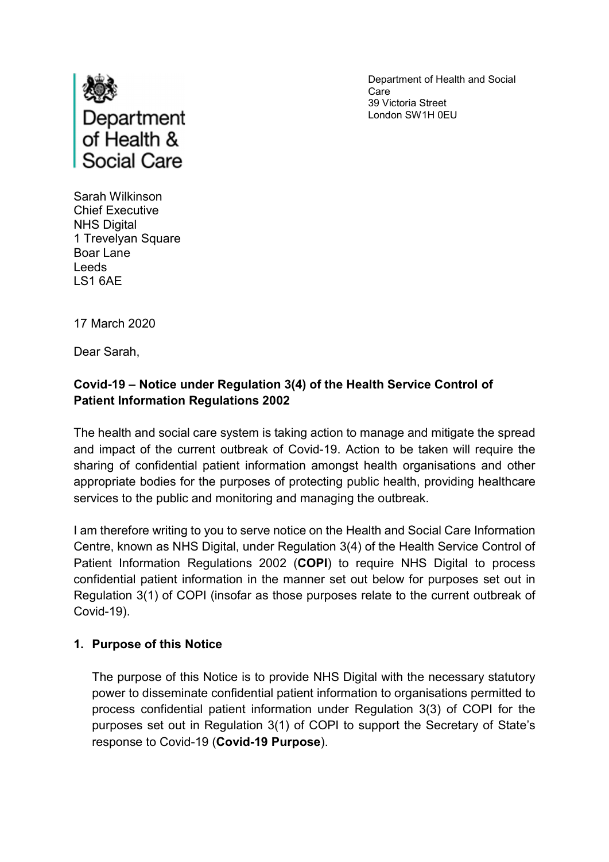

Department of Health and Social Care 39 Victoria Street London SW1H 0EU

Sarah Wilkinson Chief Executive NHS Digital 1 Trevelyan Square Boar Lane Leeds LS1 6AE

17 March 2020

Dear Sarah,

# Covid-19 – Notice under Regulation 3(4) of the Health Service Control of Patient Information Regulations 2002

The health and social care system is taking action to manage and mitigate the spread and impact of the current outbreak of Covid-19. Action to be taken will require the sharing of confidential patient information amongst health organisations and other appropriate bodies for the purposes of protecting public health, providing healthcare services to the public and monitoring and managing the outbreak.

I am therefore writing to you to serve notice on the Health and Social Care Information Centre, known as NHS Digital, under Regulation 3(4) of the Health Service Control of Patient Information Regulations 2002 (COPI) to require NHS Digital to process confidential patient information in the manner set out below for purposes set out in Regulation 3(1) of COPI (insofar as those purposes relate to the current outbreak of Covid-19).

### 1. Purpose of this Notice

The purpose of this Notice is to provide NHS Digital with the necessary statutory power to disseminate confidential patient information to organisations permitted to process confidential patient information under Regulation 3(3) of COPI for the purposes set out in Regulation 3(1) of COPI to support the Secretary of State's response to Covid-19 (Covid-19 Purpose).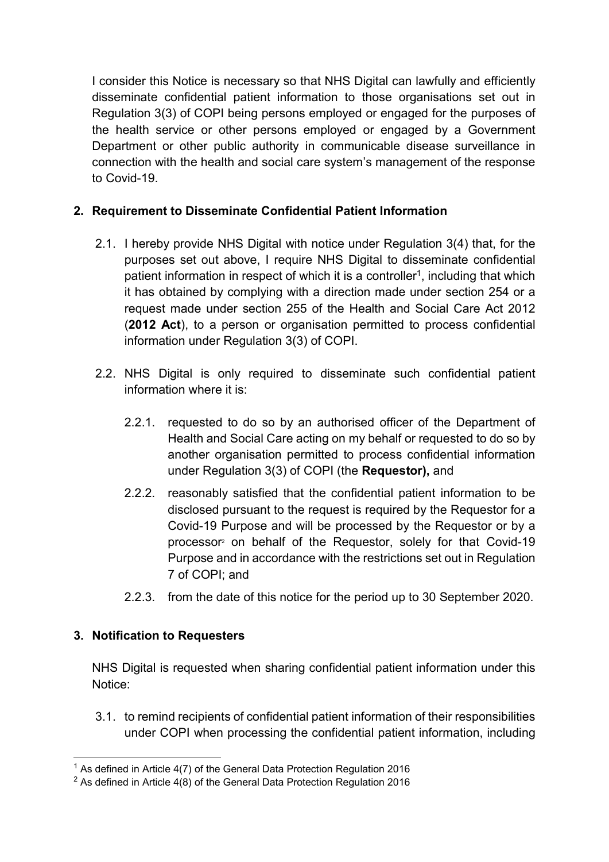I consider this Notice is necessary so that NHS Digital can lawfully and efficiently disseminate confidential patient information to those organisations set out in Regulation 3(3) of COPI being persons employed or engaged for the purposes of the health service or other persons employed or engaged by a Government Department or other public authority in communicable disease surveillance in connection with the health and social care system's management of the response to Covid-19.

# 2. Requirement to Disseminate Confidential Patient Information

- 2.1. I hereby provide NHS Digital with notice under Regulation 3(4) that, for the purposes set out above, I require NHS Digital to disseminate confidential patient information in respect of which it is a controller<sup>1</sup>, including that which it has obtained by complying with a direction made under section 254 or a request made under section 255 of the Health and Social Care Act 2012 (2012 Act), to a person or organisation permitted to process confidential information under Regulation 3(3) of COPI.
- 2.2. NHS Digital is only required to disseminate such confidential patient information where it is:
	- 2.2.1. requested to do so by an authorised officer of the Department of Health and Social Care acting on my behalf or requested to do so by another organisation permitted to process confidential information under Regulation 3(3) of COPI (the Requestor), and
	- 2.2.2. reasonably satisfied that the confidential patient information to be disclosed pursuant to the request is required by the Requestor for a Covid-19 Purpose and will be processed by the Requestor or by a processor2 on behalf of the Requestor, solely for that Covid-19 Purpose and in accordance with the restrictions set out in Regulation 7 of COPI; and
	- 2.2.3. from the date of this notice for the period up to 30 September 2020.

### 3. Notification to Requesters

-

NHS Digital is requested when sharing confidential patient information under this Notice:

3.1. to remind recipients of confidential patient information of their responsibilities under COPI when processing the confidential patient information, including

<sup>&</sup>lt;sup>1</sup> As defined in Article 4(7) of the General Data Protection Regulation 2016

<sup>&</sup>lt;sup>2</sup> As defined in Article 4(8) of the General Data Protection Regulation 2016